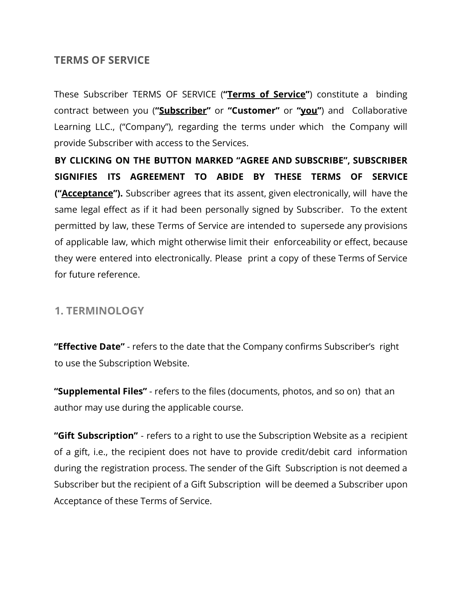# **TERMS OF SERVICE**

These Subscriber TERMS OF SERVICE (**"Terms of Service"**) constitute a binding contract between you (**"Subscriber"** or **"Customer"** or **"you"**) and Collaborative Learning LLC., ("Company"), regarding the terms under which the Company will provide Subscriber with access to the Services.

**BY CLICKING ON THE BUTTON MARKED "AGREE AND SUBSCRIBE", SUBSCRIBER SIGNIFIES ITS AGREEMENT TO ABIDE BY THESE TERMS OF SERVICE ("Acceptance").** Subscriber agrees that its assent, given electronically, will have the same legal effect as if it had been personally signed by Subscriber. To the extent permitted by law, these Terms of Service are intended to supersede any provisions of applicable law, which might otherwise limit their enforceability or effect, because they were entered into electronically. Please print a copy of these Terms of Service for future reference.

### **1. TERMINOLOGY**

**"Effective Date"** - refers to the date that the Company confirms Subscriber's right to use the Subscription Website.

**"Supplemental Files"** - refers to the files (documents, photos, and so on) that an author may use during the applicable course.

**"Gift Subscription"** - refers to a right to use the Subscription Website as a recipient of a gift, i.e., the recipient does not have to provide credit/debit card information during the registration process. The sender of the Gift Subscription is not deemed a Subscriber but the recipient of a Gift Subscription will be deemed a Subscriber upon Acceptance of these Terms of Service.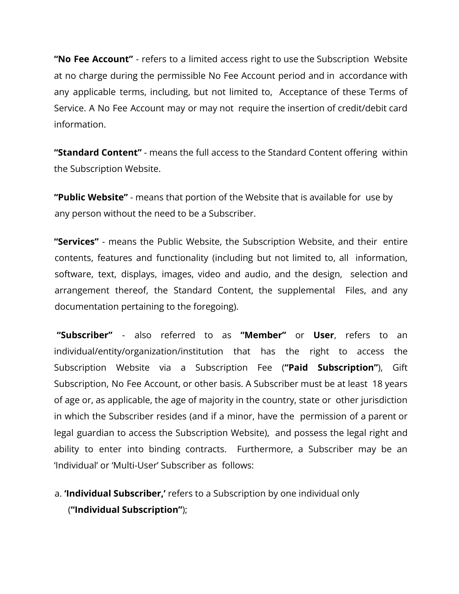**"No Fee Account"** - refers to a limited access right to use the Subscription Website at no charge during the permissible No Fee Account period and in accordance with any applicable terms, including, but not limited to, Acceptance of these Terms of Service. A No Fee Account may or may not require the insertion of credit/debit card information.

**"Standard Content"** - means the full access to the Standard Content offering within the Subscription Website.

**"Public Website"** - means that portion of the Website that is available for use by any person without the need to be a Subscriber.

**"Services"** - means the Public Website, the Subscription Website, and their entire contents, features and functionality (including but not limited to, all information, software, text, displays, images, video and audio, and the design, selection and arrangement thereof, the Standard Content, the supplemental Files, and any documentation pertaining to the foregoing).

**"Subscriber"** - also referred to as **"Member"** or **User**, refers to an individual/entity/organization/institution that has the right to access the Subscription Website via a Subscription Fee (**"Paid Subscription"**), Gift Subscription, No Fee Account, or other basis. A Subscriber must be at least 18 years of age or, as applicable, the age of majority in the country, state or other jurisdiction in which the Subscriber resides (and if a minor, have the permission of a parent or legal guardian to access the Subscription Website), and possess the legal right and ability to enter into binding contracts. Furthermore, a Subscriber may be an 'Individual' or 'Multi-User' Subscriber as follows:

a. **'Individual Subscriber,'** refers to a Subscription by one individual only (**"Individual Subscription"**);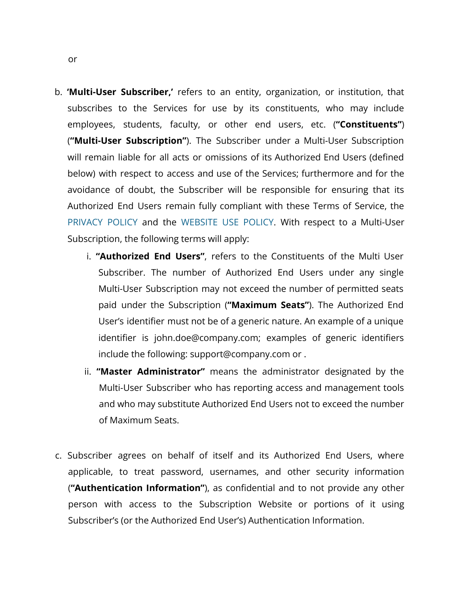- b. **'Multi-User Subscriber,'** refers to an entity, organization, or institution, that subscribes to the Services for use by its constituents, who may include employees, students, faculty, or other end users, etc. (**"Constituents"**) (**"Multi-User Subscription"**). The Subscriber under a Multi-User Subscription will remain liable for all acts or omissions of its Authorized End Users (defined below) with respect to access and use of the Services; furthermore and for the avoidance of doubt, the Subscriber will be responsible for ensuring that its Authorized End Users remain fully compliant with these Terms of Service, the PRIVACY POLICY and the WEBSITE USE POLICY. With respect to a Multi-User Subscription, the following terms will apply:
	- i. **"Authorized End Users"**, refers to the Constituents of the Multi User Subscriber. The number of Authorized End Users under any single Multi-User Subscription may not exceed the number of permitted seats paid under the Subscription (**"Maximum Seats"**). The Authorized End User's identifier must not be of a generic nature. An example of a unique identifier is john.doe@company.com; examples of generic identifiers include the following: support@company.com or .
	- ii. **"Master Administrator"** means the administrator designated by the Multi-User Subscriber who has reporting access and management tools and who may substitute Authorized End Users not to exceed the number of Maximum Seats.
- c. Subscriber agrees on behalf of itself and its Authorized End Users, where applicable, to treat password, usernames, and other security information (**"Authentication Information"**), as confidential and to not provide any other person with access to the Subscription Website or portions of it using Subscriber's (or the Authorized End User's) Authentication Information.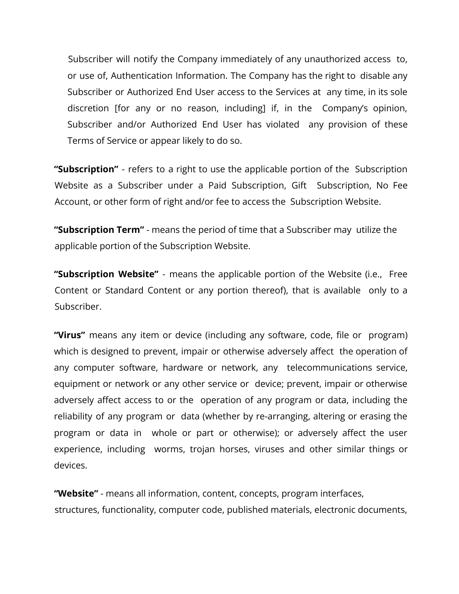Subscriber will notify the Company immediately of any unauthorized access to, or use of, Authentication Information. The Company has the right to disable any Subscriber or Authorized End User access to the Services at any time, in its sole discretion [for any or no reason, including] if, in the Company's opinion, Subscriber and/or Authorized End User has violated any provision of these Terms of Service or appear likely to do so.

**"Subscription"** - refers to a right to use the applicable portion of the Subscription Website as a Subscriber under a Paid Subscription, Gift Subscription, No Fee Account, or other form of right and/or fee to access the Subscription Website.

**"Subscription Term"** - means the period of time that a Subscriber may utilize the applicable portion of the Subscription Website.

**"Subscription Website"** - means the applicable portion of the Website (i.e., Free Content or Standard Content or any portion thereof), that is available only to a Subscriber.

**"Virus"** means any item or device (including any software, code, file or program) which is designed to prevent, impair or otherwise adversely affect the operation of any computer software, hardware or network, any telecommunications service, equipment or network or any other service or device; prevent, impair or otherwise adversely affect access to or the operation of any program or data, including the reliability of any program or data (whether by re-arranging, altering or erasing the program or data in whole or part or otherwise); or adversely affect the user experience, including worms, trojan horses, viruses and other similar things or devices.

**"Website"** - means all information, content, concepts, program interfaces, structures, functionality, computer code, published materials, electronic documents,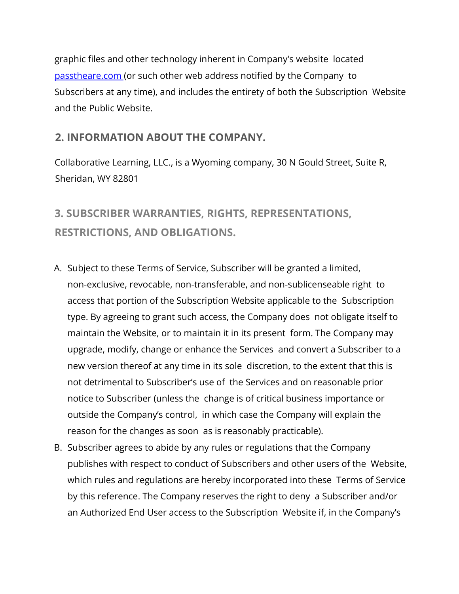graphic files and other technology inherent in Company's website located passtheare.com (or such other web address notified by the Company to Subscribers at any time), and includes the entirety of both the Subscription Website and the Public Website.

# **2. INFORMATION ABOUT THE COMPANY.**

Collaborative Learning, LLC., is a Wyoming company, 30 N Gould Street, Suite R, Sheridan, WY 82801

# **3. SUBSCRIBER WARRANTIES, RIGHTS, REPRESENTATIONS, RESTRICTIONS, AND OBLIGATIONS.**

- A. Subject to these Terms of Service, Subscriber will be granted a limited, non-exclusive, revocable, non-transferable, and non-sublicenseable right to access that portion of the Subscription Website applicable to the Subscription type. By agreeing to grant such access, the Company does not obligate itself to maintain the Website, or to maintain it in its present form. The Company may upgrade, modify, change or enhance the Services and convert a Subscriber to a new version thereof at any time in its sole discretion, to the extent that this is not detrimental to Subscriber's use of the Services and on reasonable prior notice to Subscriber (unless the change is of critical business importance or outside the Company's control, in which case the Company will explain the reason for the changes as soon as is reasonably practicable).
- B. Subscriber agrees to abide by any rules or regulations that the Company publishes with respect to conduct of Subscribers and other users of the Website, which rules and regulations are hereby incorporated into these Terms of Service by this reference. The Company reserves the right to deny a Subscriber and/or an Authorized End User access to the Subscription Website if, in the Company's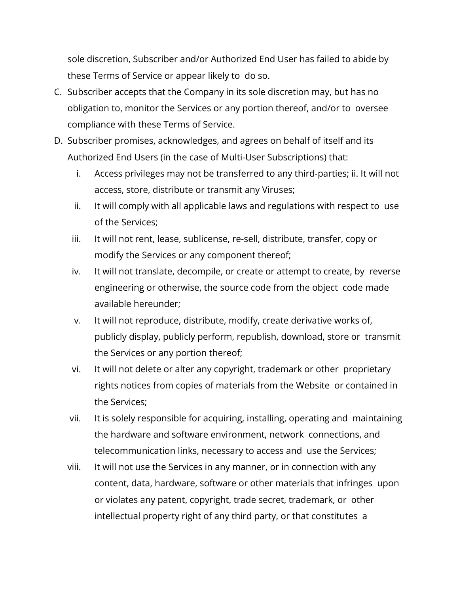sole discretion, Subscriber and/or Authorized End User has failed to abide by these Terms of Service or appear likely to do so.

- C. Subscriber accepts that the Company in its sole discretion may, but has no obligation to, monitor the Services or any portion thereof, and/or to oversee compliance with these Terms of Service.
- D. Subscriber promises, acknowledges, and agrees on behalf of itself and its Authorized End Users (in the case of Multi-User Subscriptions) that:
	- i. Access privileges may not be transferred to any third-parties; ii. It will not access, store, distribute or transmit any Viruses;
	- ii. It will comply with all applicable laws and regulations with respect to use of the Services;
	- iii. It will not rent, lease, sublicense, re-sell, distribute, transfer, copy or modify the Services or any component thereof;
	- iv. It will not translate, decompile, or create or attempt to create, by reverse engineering or otherwise, the source code from the object code made available hereunder;
	- v. It will not reproduce, distribute, modify, create derivative works of, publicly display, publicly perform, republish, download, store or transmit the Services or any portion thereof;
	- vi. It will not delete or alter any copyright, trademark or other proprietary rights notices from copies of materials from the Website or contained in the Services;
	- vii. It is solely responsible for acquiring, installing, operating and maintaining the hardware and software environment, network connections, and telecommunication links, necessary to access and use the Services;
	- viii. It will not use the Services in any manner, or in connection with any content, data, hardware, software or other materials that infringes upon or violates any patent, copyright, trade secret, trademark, or other intellectual property right of any third party, or that constitutes a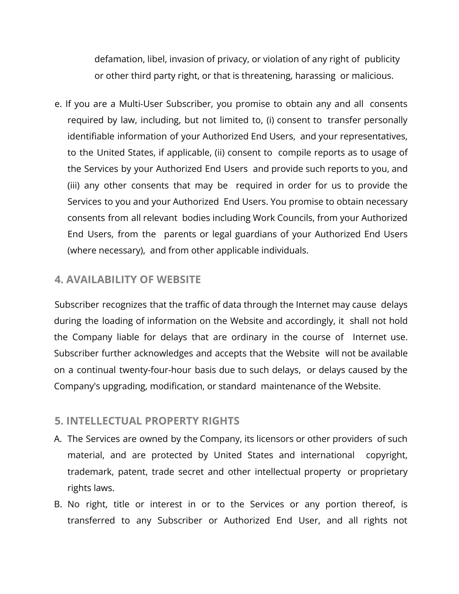defamation, libel, invasion of privacy, or violation of any right of publicity or other third party right, or that is threatening, harassing or malicious.

e. If you are a Multi-User Subscriber, you promise to obtain any and all consents required by law, including, but not limited to, (i) consent to transfer personally identifiable information of your Authorized End Users, and your representatives, to the United States, if applicable, (ii) consent to compile reports as to usage of the Services by your Authorized End Users and provide such reports to you, and (iii) any other consents that may be required in order for us to provide the Services to you and your Authorized End Users. You promise to obtain necessary consents from all relevant bodies including Work Councils, from your Authorized End Users, from the parents or legal guardians of your Authorized End Users (where necessary), and from other applicable individuals.

# **4. AVAILABILITY OF WEBSITE**

Subscriber recognizes that the traffic of data through the Internet may cause delays during the loading of information on the Website and accordingly, it shall not hold the Company liable for delays that are ordinary in the course of Internet use. Subscriber further acknowledges and accepts that the Website will not be available on a continual twenty-four-hour basis due to such delays, or delays caused by the Company's upgrading, modification, or standard maintenance of the Website.

### **5. INTELLECTUAL PROPERTY RIGHTS**

- A. The Services are owned by the Company, its licensors or other providers of such material, and are protected by United States and international copyright, trademark, patent, trade secret and other intellectual property or proprietary rights laws.
- B. No right, title or interest in or to the Services or any portion thereof, is transferred to any Subscriber or Authorized End User, and all rights not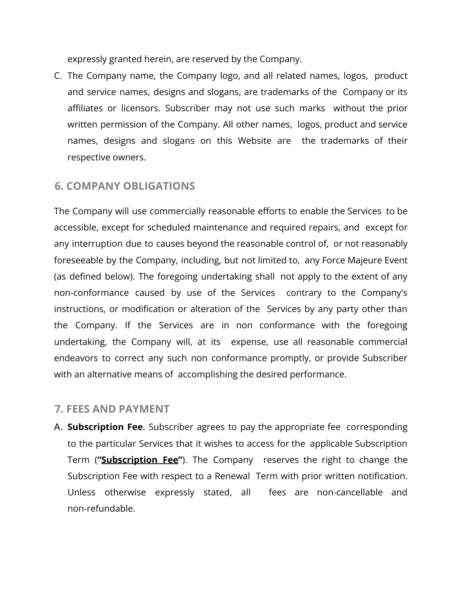expressly granted herein, are reserved by the Company.

C. The Company name, the Company logo, and all related names, logos, product and service names, designs and slogans, are trademarks of the Company or its affiliates or licensors. Subscriber may not use such marks without the prior written permission of the Company. All other names, logos, product and service names, designs and slogans on this Website are the trademarks of their respective owners.

### **6. COMPANY OBLIGATIONS**

The Company will use commercially reasonable efforts to enable the Services to be accessible, except for scheduled maintenance and required repairs, and except for any interruption due to causes beyond the reasonable control of, or not reasonably foreseeable by the Company, including, but not limited to, any Force Majeure Event (as defined below). The foregoing undertaking shall not apply to the extent of any non-conformance caused by use of the Services contrary to the Company's instructions, or modification or alteration of the Services by any party other than the Company. If the Services are in non conformance with the foregoing undertaking, the Company will, at its expense, use all reasonable commercial endeavors to correct any such non conformance promptly, or provide Subscriber with an alternative means of accomplishing the desired performance.

#### **7. FEES AND PAYMENT**

A. **Subscription Fee**. Subscriber agrees to pay the appropriate fee corresponding to the particular Services that it wishes to access for the applicable Subscription Term (**"Subscription Fee"**). The Company reserves the right to change the Subscription Fee with respect to a Renewal Term with prior written notification. Unless otherwise expressly stated, all fees are non-cancellable and non-refundable.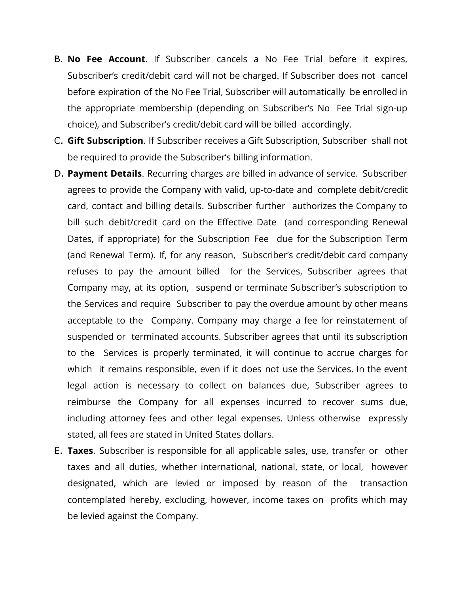- B. **No Fee Account**. If Subscriber cancels a No Fee Trial before it expires, Subscriber's credit/debit card will not be charged. If Subscriber does not cancel before expiration of the No Fee Trial, Subscriber will automatically be enrolled in the appropriate membership (depending on Subscriber's No Fee Trial sign-up choice), and Subscriber's credit/debit card will be billed accordingly.
- C. **Gift Subscription**. If Subscriber receives a Gift Subscription, Subscriber shall not be required to provide the Subscriber's billing information.
- D. **Payment Details**. Recurring charges are billed in advance of service. Subscriber agrees to provide the Company with valid, up-to-date and complete debit/credit card, contact and billing details. Subscriber further authorizes the Company to bill such debit/credit card on the Effective Date (and corresponding Renewal Dates, if appropriate) for the Subscription Fee due for the Subscription Term (and Renewal Term). If, for any reason, Subscriber's credit/debit card company refuses to pay the amount billed for the Services, Subscriber agrees that Company may, at its option, suspend or terminate Subscriber's subscription to the Services and require Subscriber to pay the overdue amount by other means acceptable to the Company. Company may charge a fee for reinstatement of suspended or terminated accounts. Subscriber agrees that until its subscription to the Services is properly terminated, it will continue to accrue charges for which it remains responsible, even if it does not use the Services. In the event legal action is necessary to collect on balances due, Subscriber agrees to reimburse the Company for all expenses incurred to recover sums due, including attorney fees and other legal expenses. Unless otherwise expressly stated, all fees are stated in United States dollars.
- E. **Taxes**. Subscriber is responsible for all applicable sales, use, transfer or other taxes and all duties, whether international, national, state, or local, however designated, which are levied or imposed by reason of the transaction contemplated hereby, excluding, however, income taxes on profits which may be levied against the Company.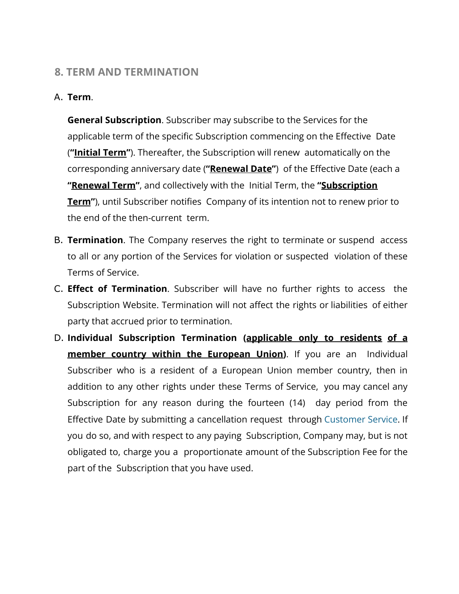### **8. TERM AND TERMINATION**

#### A. **Term**.

**General Subscription**. Subscriber may subscribe to the Services for the applicable term of the specific Subscription commencing on the Effective Date (**"Initial Term"**). Thereafter, the Subscription will renew automatically on the corresponding anniversary date (**"Renewal Date"**) of the Effective Date (each a **"Renewal Term"**, and collectively with the Initial Term, the **"Subscription Term"**), until Subscriber notifies Company of its intention not to renew prior to the end of the then-current term.

- B. **Termination**. The Company reserves the right to terminate or suspend access to all or any portion of the Services for violation or suspected violation of these Terms of Service.
- C. **Effect of Termination**. Subscriber will have no further rights to access the Subscription Website. Termination will not affect the rights or liabilities of either party that accrued prior to termination.
- D. **Individual Subscription Termination (applicable only to residents of a member country within the European Union)**. If you are an Individual Subscriber who is a resident of a European Union member country, then in addition to any other rights under these Terms of Service, you may cancel any Subscription for any reason during the fourteen (14) day period from the Effective Date by submitting a cancellation request through Customer Service. If you do so, and with respect to any paying Subscription, Company may, but is not obligated to, charge you a proportionate amount of the Subscription Fee for the part of the Subscription that you have used.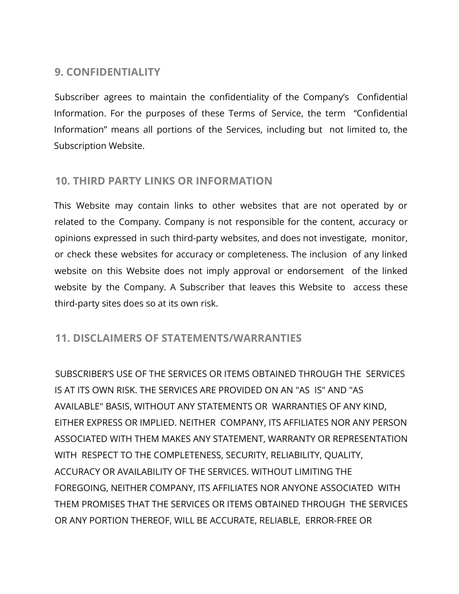# **9. CONFIDENTIALITY**

Subscriber agrees to maintain the confidentiality of the Company's Confidential Information. For the purposes of these Terms of Service, the term "Confidential Information" means all portions of the Services, including but not limited to, the Subscription Website.

# **10. THIRD PARTY LINKS OR INFORMATION**

This Website may contain links to other websites that are not operated by or related to the Company. Company is not responsible for the content, accuracy or opinions expressed in such third-party websites, and does not investigate, monitor, or check these websites for accuracy or completeness. The inclusion of any linked website on this Website does not imply approval or endorsement of the linked website by the Company. A Subscriber that leaves this Website to access these third-party sites does so at its own risk.

### **11. DISCLAIMERS OF STATEMENTS/WARRANTIES**

SUBSCRIBER'S USE OF THE SERVICES OR ITEMS OBTAINED THROUGH THE SERVICES IS AT ITS OWN RISK. THE SERVICES ARE PROVIDED ON AN "AS IS" AND "AS AVAILABLE" BASIS, WITHOUT ANY STATEMENTS OR WARRANTIES OF ANY KIND, EITHER EXPRESS OR IMPLIED. NEITHER COMPANY, ITS AFFILIATES NOR ANY PERSON ASSOCIATED WITH THEM MAKES ANY STATEMENT, WARRANTY OR REPRESENTATION WITH RESPECT TO THE COMPLETENESS, SECURITY, RELIABILITY, QUALITY, ACCURACY OR AVAILABILITY OF THE SERVICES. WITHOUT LIMITING THE FOREGOING, NEITHER COMPANY, ITS AFFILIATES NOR ANYONE ASSOCIATED WITH THEM PROMISES THAT THE SERVICES OR ITEMS OBTAINED THROUGH THE SERVICES OR ANY PORTION THEREOF, WILL BE ACCURATE, RELIABLE, ERROR-FREE OR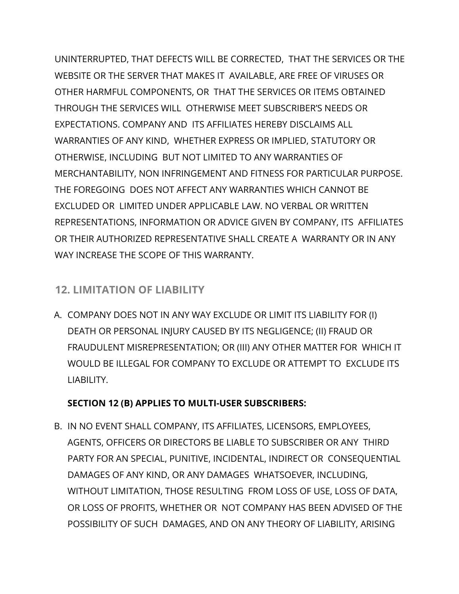UNINTERRUPTED, THAT DEFECTS WILL BE CORRECTED, THAT THE SERVICES OR THE WEBSITE OR THE SERVER THAT MAKES IT AVAILABLE, ARE FREE OF VIRUSES OR OTHER HARMFUL COMPONENTS, OR THAT THE SERVICES OR ITEMS OBTAINED THROUGH THE SERVICES WILL OTHERWISE MEET SUBSCRIBER'S NEEDS OR EXPECTATIONS. COMPANY AND ITS AFFILIATES HEREBY DISCLAIMS ALL WARRANTIES OF ANY KIND, WHETHER EXPRESS OR IMPLIED, STATUTORY OR OTHERWISE, INCLUDING BUT NOT LIMITED TO ANY WARRANTIES OF MERCHANTABILITY, NON INFRINGEMENT AND FITNESS FOR PARTICULAR PURPOSE. THE FOREGOING DOES NOT AFFECT ANY WARRANTIES WHICH CANNOT BE EXCLUDED OR LIMITED UNDER APPLICABLE LAW. NO VERBAL OR WRITTEN REPRESENTATIONS, INFORMATION OR ADVICE GIVEN BY COMPANY, ITS AFFILIATES OR THEIR AUTHORIZED REPRESENTATIVE SHALL CREATE A WARRANTY OR IN ANY WAY INCREASE THE SCOPE OF THIS WARRANTY.

# **12. LIMITATION OF LIABILITY**

A. COMPANY DOES NOT IN ANY WAY EXCLUDE OR LIMIT ITS LIABILITY FOR (I) DEATH OR PERSONAL INJURY CAUSED BY ITS NEGLIGENCE; (II) FRAUD OR FRAUDULENT MISREPRESENTATION; OR (III) ANY OTHER MATTER FOR WHICH IT WOULD BE ILLEGAL FOR COMPANY TO EXCLUDE OR ATTEMPT TO EXCLUDE ITS LIABILITY.

# **SECTION 12 (B) APPLIES TO MULTI-USER SUBSCRIBERS:**

B. IN NO EVENT SHALL COMPANY, ITS AFFILIATES, LICENSORS, EMPLOYEES, AGENTS, OFFICERS OR DIRECTORS BE LIABLE TO SUBSCRIBER OR ANY THIRD PARTY FOR AN SPECIAL, PUNITIVE, INCIDENTAL, INDIRECT OR CONSEQUENTIAL DAMAGES OF ANY KIND, OR ANY DAMAGES WHATSOEVER, INCLUDING, WITHOUT LIMITATION, THOSE RESULTING FROM LOSS OF USE, LOSS OF DATA, OR LOSS OF PROFITS, WHETHER OR NOT COMPANY HAS BEEN ADVISED OF THE POSSIBILITY OF SUCH DAMAGES, AND ON ANY THEORY OF LIABILITY, ARISING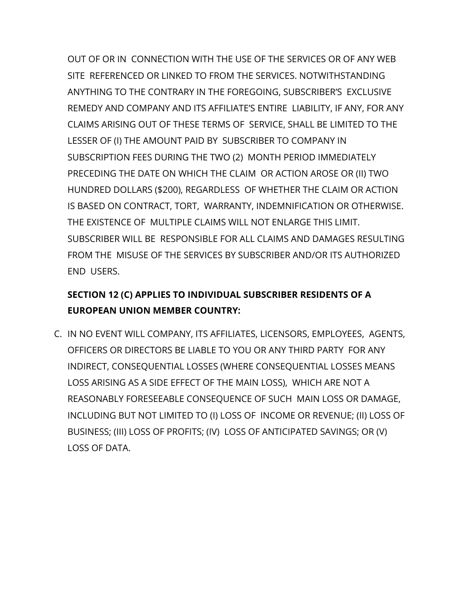OUT OF OR IN CONNECTION WITH THE USE OF THE SERVICES OR OF ANY WEB SITE REFERENCED OR LINKED TO FROM THE SERVICES. NOTWITHSTANDING ANYTHING TO THE CONTRARY IN THE FOREGOING, SUBSCRIBER'S EXCLUSIVE REMEDY AND COMPANY AND ITS AFFILIATE'S ENTIRE LIABILITY, IF ANY, FOR ANY CLAIMS ARISING OUT OF THESE TERMS OF SERVICE, SHALL BE LIMITED TO THE LESSER OF (I) THE AMOUNT PAID BY SUBSCRIBER TO COMPANY IN SUBSCRIPTION FEES DURING THE TWO (2) MONTH PERIOD IMMEDIATELY PRECEDING THE DATE ON WHICH THE CLAIM OR ACTION AROSE OR (II) TWO HUNDRED DOLLARS (\$200), REGARDLESS OF WHETHER THE CLAIM OR ACTION IS BASED ON CONTRACT, TORT, WARRANTY, INDEMNIFICATION OR OTHERWISE. THE EXISTENCE OF MULTIPLE CLAIMS WILL NOT ENLARGE THIS LIMIT. SUBSCRIBER WILL BE RESPONSIBLE FOR ALL CLAIMS AND DAMAGES RESULTING FROM THE MISUSE OF THE SERVICES BY SUBSCRIBER AND/OR ITS AUTHORIZED END USERS.

# **SECTION 12 (C) APPLIES TO INDIVIDUAL SUBSCRIBER RESIDENTS OF A EUROPEAN UNION MEMBER COUNTRY:**

C. IN NO EVENT WILL COMPANY, ITS AFFILIATES, LICENSORS, EMPLOYEES, AGENTS, OFFICERS OR DIRECTORS BE LIABLE TO YOU OR ANY THIRD PARTY FOR ANY INDIRECT, CONSEQUENTIAL LOSSES (WHERE CONSEQUENTIAL LOSSES MEANS LOSS ARISING AS A SIDE EFFECT OF THE MAIN LOSS), WHICH ARE NOT A REASONABLY FORESEEABLE CONSEQUENCE OF SUCH MAIN LOSS OR DAMAGE, INCLUDING BUT NOT LIMITED TO (I) LOSS OF INCOME OR REVENUE; (II) LOSS OF BUSINESS; (III) LOSS OF PROFITS; (IV) LOSS OF ANTICIPATED SAVINGS; OR (V) LOSS OF DATA.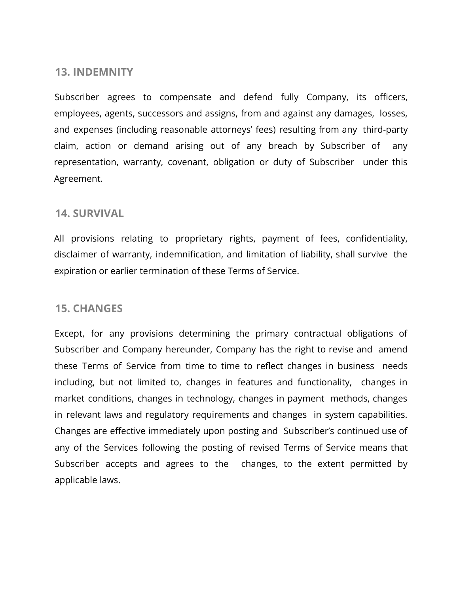#### **13. INDEMNITY**

Subscriber agrees to compensate and defend fully Company, its officers, employees, agents, successors and assigns, from and against any damages, losses, and expenses (including reasonable attorneys' fees) resulting from any third-party claim, action or demand arising out of any breach by Subscriber of any representation, warranty, covenant, obligation or duty of Subscriber under this Agreement.

#### **14. SURVIVAL**

All provisions relating to proprietary rights, payment of fees, confidentiality, disclaimer of warranty, indemnification, and limitation of liability, shall survive the expiration or earlier termination of these Terms of Service.

#### **15. CHANGES**

Except, for any provisions determining the primary contractual obligations of Subscriber and Company hereunder, Company has the right to revise and amend these Terms of Service from time to time to reflect changes in business needs including, but not limited to, changes in features and functionality, changes in market conditions, changes in technology, changes in payment methods, changes in relevant laws and regulatory requirements and changes in system capabilities. Changes are effective immediately upon posting and Subscriber's continued use of any of the Services following the posting of revised Terms of Service means that Subscriber accepts and agrees to the changes, to the extent permitted by applicable laws.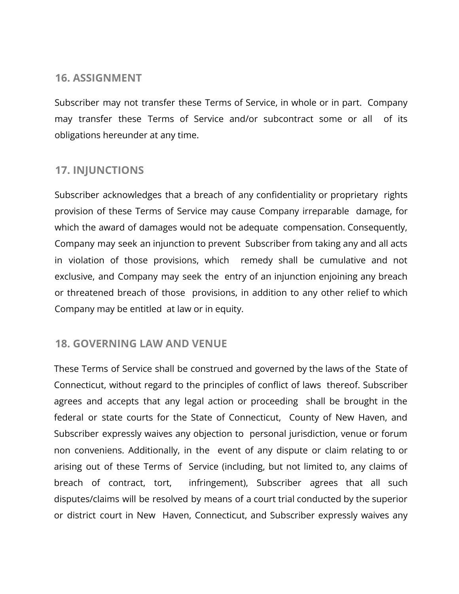### **16. ASSIGNMENT**

Subscriber may not transfer these Terms of Service, in whole or in part. Company may transfer these Terms of Service and/or subcontract some or all of its obligations hereunder at any time.

# **17. INJUNCTIONS**

Subscriber acknowledges that a breach of any confidentiality or proprietary rights provision of these Terms of Service may cause Company irreparable damage, for which the award of damages would not be adequate compensation. Consequently, Company may seek an injunction to prevent Subscriber from taking any and all acts in violation of those provisions, which remedy shall be cumulative and not exclusive, and Company may seek the entry of an injunction enjoining any breach or threatened breach of those provisions, in addition to any other relief to which Company may be entitled at law or in equity.

### **18. GOVERNING LAW AND VENUE**

These Terms of Service shall be construed and governed by the laws of the State of Connecticut, without regard to the principles of conflict of laws thereof. Subscriber agrees and accepts that any legal action or proceeding shall be brought in the federal or state courts for the State of Connecticut, County of New Haven, and Subscriber expressly waives any objection to personal jurisdiction, venue or forum non conveniens. Additionally, in the event of any dispute or claim relating to or arising out of these Terms of Service (including, but not limited to, any claims of breach of contract, tort, infringement), Subscriber agrees that all such disputes/claims will be resolved by means of a court trial conducted by the superior or district court in New Haven, Connecticut, and Subscriber expressly waives any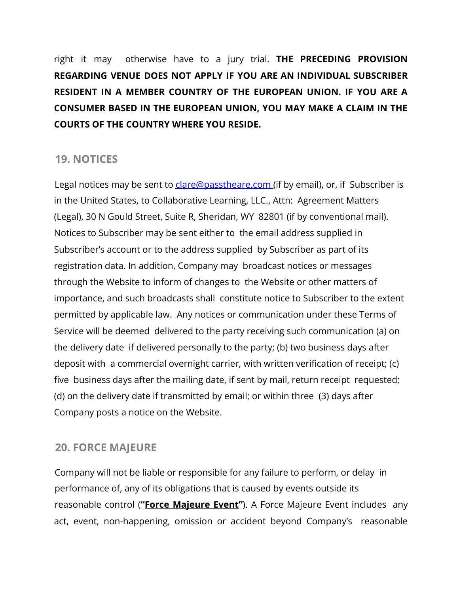right it may otherwise have to a jury trial. **THE PRECEDING PROVISION REGARDING VENUE DOES NOT APPLY IF YOU ARE AN INDIVIDUAL SUBSCRIBER RESIDENT IN A MEMBER COUNTRY OF THE EUROPEAN UNION. IF YOU ARE A CONSUMER BASED IN THE EUROPEAN UNION, YOU MAY MAKE A CLAIM IN THE COURTS OF THE COUNTRY WHERE YOU RESIDE.**

### **19. NOTICES**

Legal notices may be sent to clare@passtheare.com (if by email), or, if Subscriber is in the United States, to Collaborative Learning, LLC., Attn: Agreement Matters (Legal), 30 N Gould Street, Suite R, Sheridan, WY 82801 (if by conventional mail). Notices to Subscriber may be sent either to the email address supplied in Subscriber's account or to the address supplied by Subscriber as part of its registration data. In addition, Company may broadcast notices or messages through the Website to inform of changes to the Website or other matters of importance, and such broadcasts shall constitute notice to Subscriber to the extent permitted by applicable law. Any notices or communication under these Terms of Service will be deemed delivered to the party receiving such communication (a) on the delivery date if delivered personally to the party; (b) two business days after deposit with a commercial overnight carrier, with written verification of receipt; (c) five business days after the mailing date, if sent by mail, return receipt requested; (d) on the delivery date if transmitted by email; or within three (3) days after Company posts a notice on the Website.

# **20. FORCE MAJEURE**

Company will not be liable or responsible for any failure to perform, or delay in performance of, any of its obligations that is caused by events outside its reasonable control (**"Force Majeure Event"**). A Force Majeure Event includes any act, event, non-happening, omission or accident beyond Company's reasonable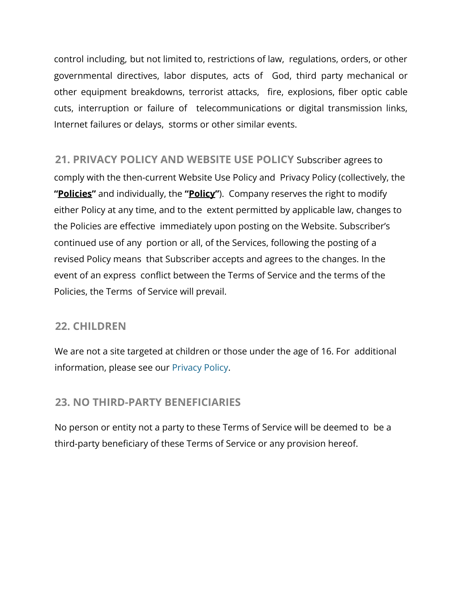control including, but not limited to, restrictions of law, regulations, orders, or other governmental directives, labor disputes, acts of God, third party mechanical or other equipment breakdowns, terrorist attacks, fire, explosions, fiber optic cable cuts, interruption or failure of telecommunications or digital transmission links, Internet failures or delays, storms or other similar events.

**21. PRIVACY POLICY AND WEBSITE USE POLICY** Subscriber agrees to comply with the then-current Website Use Policy and Privacy Policy (collectively, the **"Policies"** and individually, the **"Policy"**). Company reserves the right to modify either Policy at any time, and to the extent permitted by applicable law, changes to the Policies are effective immediately upon posting on the Website. Subscriber's continued use of any portion or all, of the Services, following the posting of a revised Policy means that Subscriber accepts and agrees to the changes. In the event of an express conflict between the Terms of Service and the terms of the Policies, the Terms of Service will prevail.

### **22. CHILDREN**

We are not a site targeted at children or those under the age of 16. For additional information, please see our Privacy Policy.

# **23. NO THIRD-PARTY BENEFICIARIES**

No person or entity not a party to these Terms of Service will be deemed to be a third-party beneficiary of these Terms of Service or any provision hereof.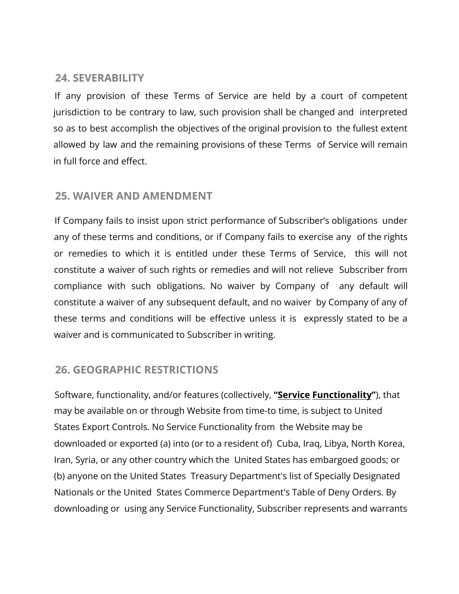# **24. SEVERABILITY**

If any provision of these Terms of Service are held by a court of competent jurisdiction to be contrary to law, such provision shall be changed and interpreted so as to best accomplish the objectives of the original provision to the fullest extent allowed by law and the remaining provisions of these Terms of Service will remain in full force and effect.

### **25. WAIVER AND AMENDMENT**

If Company fails to insist upon strict performance of Subscriber's obligations under any of these terms and conditions, or if Company fails to exercise any of the rights or remedies to which it is entitled under these Terms of Service, this will not constitute a waiver of such rights or remedies and will not relieve Subscriber from compliance with such obligations. No waiver by Company of any default will constitute a waiver of any subsequent default, and no waiver by Company of any of these terms and conditions will be effective unless it is expressly stated to be a waiver and is communicated to Subscriber in writing.

# **26. GEOGRAPHIC RESTRICTIONS**

Software, functionality, and/or features (collectively, **"Service Functionality"**), that may be available on or through Website from time-to time, is subject to United States Export Controls. No Service Functionality from the Website may be downloaded or exported (a) into (or to a resident of) Cuba, Iraq, Libya, North Korea, Iran, Syria, or any other country which the United States has embargoed goods; or (b) anyone on the United States Treasury Department's list of Specially Designated Nationals or the United States Commerce Department's Table of Deny Orders. By downloading or using any Service Functionality, Subscriber represents and warrants